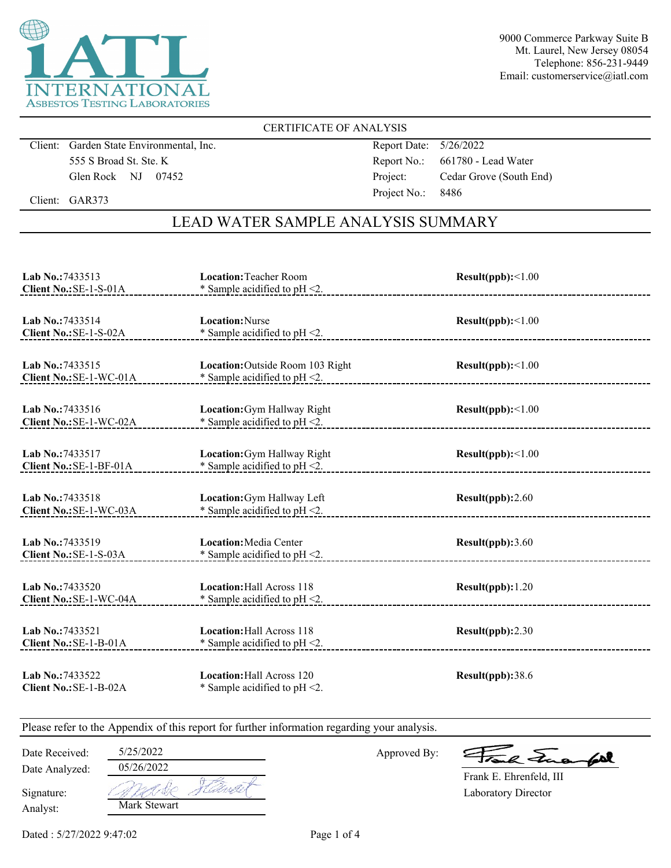

9000 Commerce Parkway Suite B Mt. Laurel, New Jersey 08054 Telephone: 856-231-9449 Email: customerservice@iatl.com

## CERTIFICATE OF ANALYSIS

Client: Garden State Environmental, Inc. 555 S Broad St. Ste. K Glen Rock NJ 07452

Report Date: 5/26/2022 Report No.: 661780 - Lead Water Project: Cedar Grove (South End) Project No.: 8486

Client: GAR373

# LEAD WATER SAMPLE ANALYSIS SUMMARY

| Lab No.: 7433513<br>Client No.: SE-1-S-01A  | <b>Location: Teacher Room</b><br>* Sample acidified to pH <2.        | $Result(ppb): \leq 1.00$ |
|---------------------------------------------|----------------------------------------------------------------------|--------------------------|
| Lab No.: 7433514<br>Client No.: SE-1-S-02A  | <b>Location:</b> Nurse<br>* Sample acidified to pH <2.               | Result(ppb):<1.00        |
| Lab No.: 7433515<br>Client No.: SE-1-WC-01A | Location: Outside Room 103 Right<br>* Sample acidified to pH <2.     | Result(ppb):<1.00        |
| Lab No.:7433516<br>Client No.: SE-1-WC-02A  | Location: Gym Hallway Right<br>$*$ Sample acidified to pH $\leq$ .   | Result(ppb):<1.00        |
| Lab No.: 7433517<br>Client No.: SE-1-BF-01A | Location: Gym Hallway Right<br>* Sample acidified to $pH < 2$ .      | Result(ppb):<1.00        |
| Lab No.: 7433518<br>Client No.: SE-1-WC-03A | Location: Gym Hallway Left<br>* Sample acidified to pH <2.           | Result(ppb):2.60         |
| Lab No.: 7433519<br>Client No.: SE-1-S-03A  | Location: Media Center<br>* Sample acidified to $pH < 2$ .           | Result(ppb):3.60         |
| Lab No.: 7433520<br>Client No.: SE-1-WC-04A | <b>Location: Hall Across 118</b><br>* Sample acidified to pH <2.     | Result(ppb): 1.20        |
| Lab No.: 7433521<br>Client No.: SE-1-B-01A  | <b>Location: Hall Across 118</b><br>* Sample acidified to $pH < 2$ . | Result(ppb):2.30         |
| Lab No.: 7433522<br>Client No.: SE-1-B-02A  | Location: Hall Across 120<br>* Sample acidified to $pH < 2$ .        | Result(ppb):38.6         |

Please refer to the Appendix of this report for further information regarding your analysis.

Date Received: 5/25/2022

Date Analyzed:

Approved By:

a Juan fall

Laboratory Director Frank E. Ehrenfeld, III

| Signature: |
|------------|
| Analyst:   |

05/26/2022 1 de Mark Stewart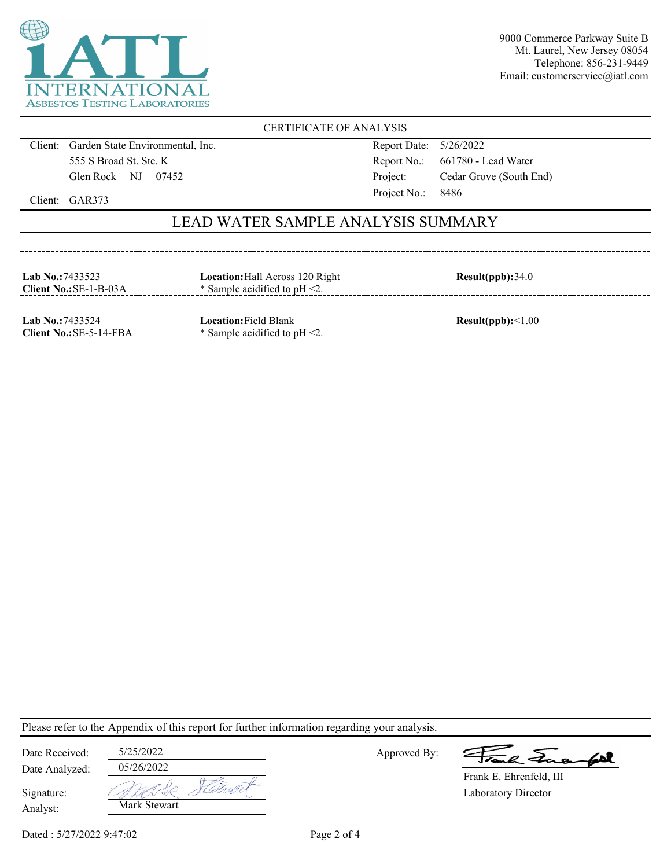

9000 Commerce Parkway Suite B Mt. Laurel, New Jersey 08054 Telephone: 856-231-9449 Email: customerservice@iatl.com

## CERTIFICATE OF ANALYSIS

Client: Garden State Environmental, Inc. 555 S Broad St. Ste. K Glen Rock NJ 07452

-----------------------------------

Report Date: 5/26/2022 Report No.: 661780 - Lead Water Project: Cedar Grove (South End) Project No.: 8486

Client: GAR373

## LEAD WATER SAMPLE ANALYSIS SUMMARY

| <b>Lab No.:7433523</b><br>Client No.: SE-1-B-03A | <b>Location:</b> Hall Across 120 Right<br>$*$ Sample acidified to pH $\leq$ . | Result(ppb):34.0 |
|--------------------------------------------------|-------------------------------------------------------------------------------|------------------|
|                                                  |                                                                               |                  |

**Lab No.:**7433524 **Client No.:**SE-5-14-FBA **Location:**Field Blank \* Sample acidified to pH <2.

**Result(ppb):**<1.00

Please refer to the Appendix of this report for further information regarding your analysis.

| Date Received: | 5/25/2022    |       |
|----------------|--------------|-------|
| Date Analyzed: | 05/26/2022   |       |
| Signature:     |              | Narft |
| Analyst:       | Mark Stewart |       |

Approved By:

le Frank

Laboratory Director Frank E. Ehrenfeld, III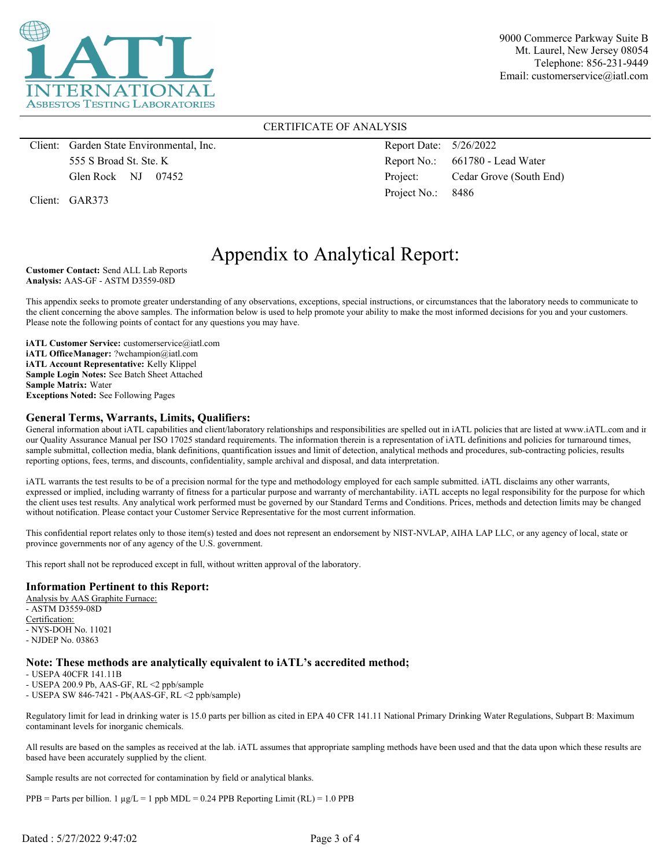

9000 Commerce Parkway Suite B Mt. Laurel, New Jersey 08054 Telephone: 856-231-9449 Email: customerservice@iatl.com

#### CERTIFICATE OF ANALYSIS

Client: Garden State Environmental, Inc. 555 S Broad St. Ste. K Glen Rock NJ 07452

Client: GAR373

Report Date: 5/26/2022 Report No.: 661780 - Lead Water Project: Cedar Grove (South End) Project No.: 8486

# Appendix to Analytical Report:

**Customer Contact:** Send ALL Lab Reports **Analysis:** AAS-GF - ASTM D3559-08D

This appendix seeks to promote greater understanding of any observations, exceptions, special instructions, or circumstances that the laboratory needs to communicate to the client concerning the above samples. The information below is used to help promote your ability to make the most informed decisions for you and your customers. Please note the following points of contact for any questions you may have.

**iATL Customer Service:** customerservice@iatl.com **iATL OfficeManager:** ?wchampion@iatl.com **iATL Account Representative:** Kelly Klippel **Sample Login Notes:** See Batch Sheet Attached **Sample Matrix:** Water **Exceptions Noted:** See Following Pages

#### **General Terms, Warrants, Limits, Qualifiers:**

General information about iATL capabilities and client/laboratory relationships and responsibilities are spelled out in iATL policies that are listed at www.iATL.com and in our Quality Assurance Manual per ISO 17025 standard requirements. The information therein is a representation of iATL definitions and policies for turnaround times, sample submittal, collection media, blank definitions, quantification issues and limit of detection, analytical methods and procedures, sub-contracting policies, results reporting options, fees, terms, and discounts, confidentiality, sample archival and disposal, and data interpretation.

iATL warrants the test results to be of a precision normal for the type and methodology employed for each sample submitted. iATL disclaims any other warrants, expressed or implied, including warranty of fitness for a particular purpose and warranty of merchantability. iATL accepts no legal responsibility for the purpose for which the client uses test results. Any analytical work performed must be governed by our Standard Terms and Conditions. Prices, methods and detection limits may be changed without notification. Please contact your Customer Service Representative for the most current information.

This confidential report relates only to those item(s) tested and does not represent an endorsement by NIST-NVLAP, AIHA LAP LLC, or any agency of local, state or province governments nor of any agency of the U.S. government.

This report shall not be reproduced except in full, without written approval of the laboratory.

#### **Information Pertinent to this Report:**

Analysis by AAS Graphite Furnace: - ASTM D3559-08D Certification: - NYS-DOH No. 11021 - NJDEP No. 03863

#### **Note: These methods are analytically equivalent to iATL's accredited method;**

- USEPA 40CFR 141.11B

- USEPA 200.9 Pb, AAS-GF, RL <2 ppb/sample

- USEPA SW 846-7421 - Pb(AAS-GF, RL <2 ppb/sample)

Regulatory limit for lead in drinking water is 15.0 parts per billion as cited in EPA 40 CFR 141.11 National Primary Drinking Water Regulations, Subpart B: Maximum contaminant levels for inorganic chemicals.

All results are based on the samples as received at the lab. iATL assumes that appropriate sampling methods have been used and that the data upon which these results are based have been accurately supplied by the client.

Sample results are not corrected for contamination by field or analytical blanks.

 $PPB =$  Parts per billion. 1  $\mu g/L = 1$  ppb MDL = 0.24 PPB Reporting Limit (RL) = 1.0 PPB